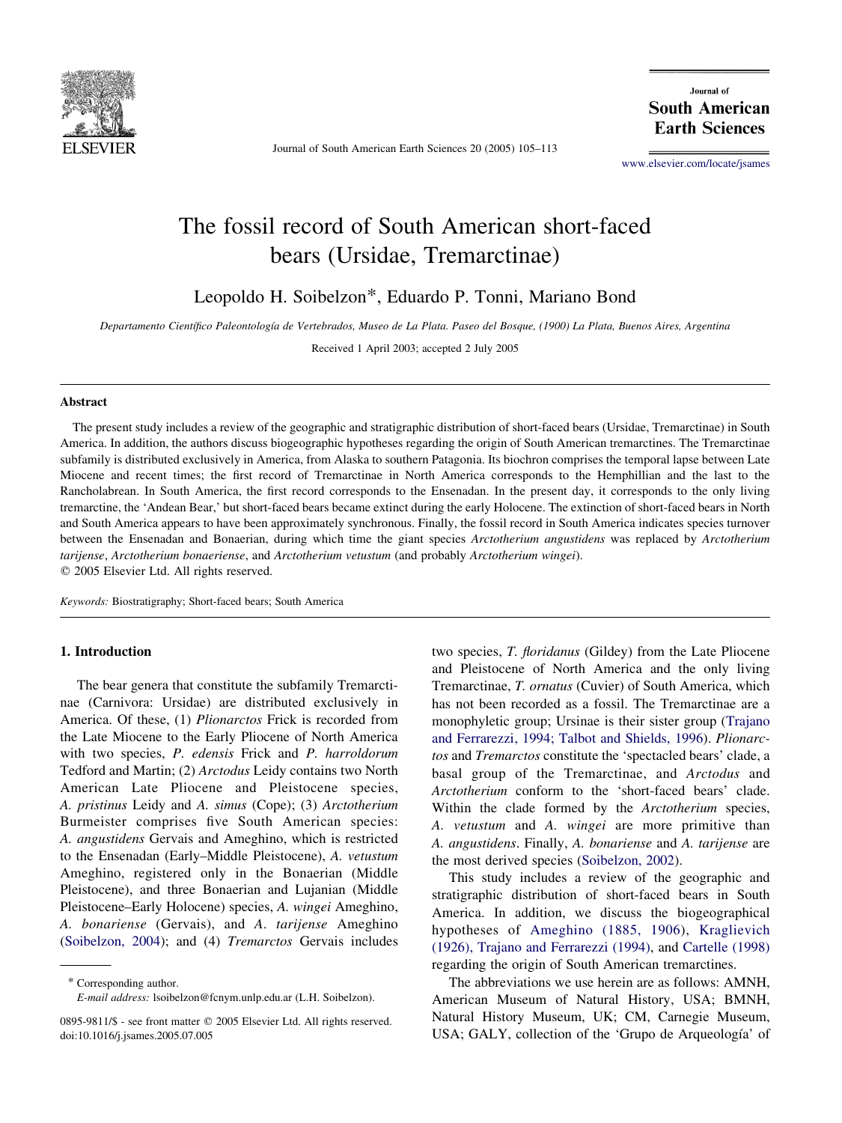

Journal of South American Earth Sciences 20 (2005) 105–113

Journal of **South American Earth Sciences** 

[www.elsevier.com/locate/jsames](http://www.elsevier.com/locate/jsames)

# The fossil record of South American short-faced bears (Ursidae, Tremarctinae)

Leopoldo H. Soibelzon\*, Eduardo P. Tonni, Mariano Bond

Departamento Científico Paleontología de Vertebrados, Museo de La Plata. Paseo del Bosque, (1900) La Plata, Buenos Aires, Argentina

Received 1 April 2003; accepted 2 July 2005

# Abstract

The present study includes a review of the geographic and stratigraphic distribution of short-faced bears (Ursidae, Tremarctinae) in South America. In addition, the authors discuss biogeographic hypotheses regarding the origin of South American tremarctines. The Tremarctinae subfamily is distributed exclusively in America, from Alaska to southern Patagonia. Its biochron comprises the temporal lapse between Late Miocene and recent times; the first record of Tremarctinae in North America corresponds to the Hemphillian and the last to the Rancholabrean. In South America, the first record corresponds to the Ensenadan. In the present day, it corresponds to the only living tremarctine, the 'Andean Bear,' but short-faced bears became extinct during the early Holocene. The extinction of short-faced bears in North and South America appears to have been approximately synchronous. Finally, the fossil record in South America indicates species turnover between the Ensenadan and Bonaerian, during which time the giant species Arctotherium angustidens was replaced by Arctotherium tarijense, Arctotherium bonaeriense, and Arctotherium vetustum (and probably Arctotherium wingei).  $©$  2005 Elsevier Ltd. All rights reserved.

Keywords: Biostratigraphy; Short-faced bears; South America

## 1. Introduction

The bear genera that constitute the subfamily Tremarctinae (Carnivora: Ursidae) are distributed exclusively in America. Of these, (1) Plionarctos Frick is recorded from the Late Miocene to the Early Pliocene of North America with two species, P. edensis Frick and P. harroldorum Tedford and Martin; (2) Arctodus Leidy contains two North American Late Pliocene and Pleistocene species, A. pristinus Leidy and A. simus (Cope); (3) Arctotherium Burmeister comprises five South American species: A. angustidens Gervais and Ameghino, which is restricted to the Ensenadan (Early–Middle Pleistocene), A. vetustum Ameghino, registered only in the Bonaerian (Middle Pleistocene), and three Bonaerian and Lujanian (Middle Pleistocene–Early Holocene) species, A. wingei Ameghino, A. bonariense (Gervais), and A. tarijense Ameghino ([Soibelzon, 2004](#page-7-0)); and (4) Tremarctos Gervais includes

\* Corresponding author.

E-mail address: lsoibelzon@fcnym.unlp.edu.ar (L.H. Soibelzon).

two species, T. floridanus (Gildey) from the Late Pliocene and Pleistocene of North America and the only living Tremarctinae, T. ornatus (Cuvier) of South America, which has not been recorded as a fossil. The Tremarctinae are a monophyletic group; Ursinae is their sister group [\(Trajano](#page-8-0) [and Ferrarezzi, 1994; Talbot and Shields, 1996](#page-8-0)). Plionarctos and Tremarctos constitute the 'spectacled bears' clade, a basal group of the Tremarctinae, and Arctodus and Arctotherium conform to the 'short-faced bears' clade. Within the clade formed by the Arctotherium species, A. vetustum and A. wingei are more primitive than A. angustidens. Finally, A. bonariense and A. tarijense are the most derived species [\(Soibelzon, 2002\)](#page-7-0).

This study includes a review of the geographic and stratigraphic distribution of short-faced bears in South America. In addition, we discuss the biogeographical hypotheses of [Ameghino \(1885, 1906](#page-7-0)), [Kraglievich](#page-7-0) [\(1926\), Trajano and Ferrarezzi \(1994\),](#page-7-0) and [Cartelle \(1998\)](#page-7-0) regarding the origin of South American tremarctines.

The abbreviations we use herein are as follows: AMNH, American Museum of Natural History, USA; BMNH, Natural History Museum, UK; CM, Carnegie Museum, USA; GALY, collection of the 'Grupo de Arqueología' of

<sup>0895-9811/\$ -</sup> see front matter © 2005 Elsevier Ltd. All rights reserved. doi:10.1016/j.jsames.2005.07.005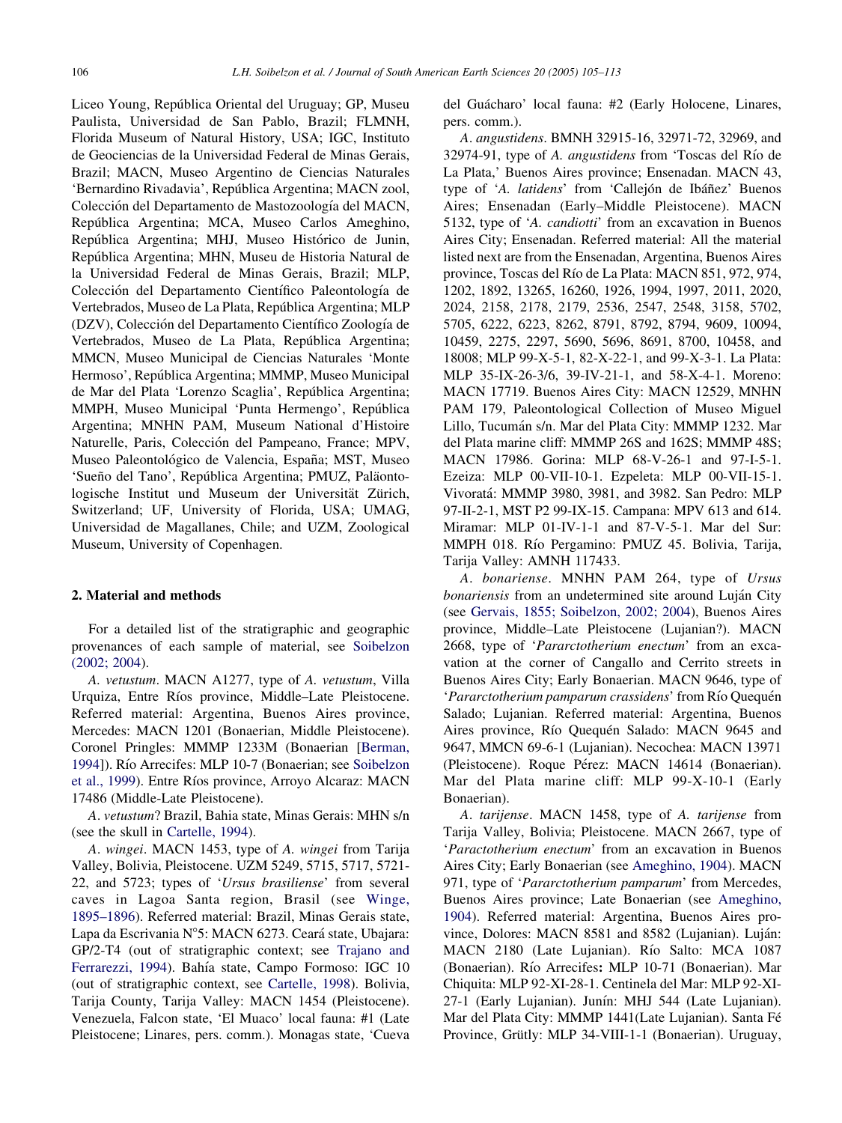Liceo Young, República Oriental del Uruguay; GP, Museu Paulista, Universidad de San Pablo, Brazil; FLMNH, Florida Museum of Natural History, USA; IGC, Instituto de Geociencias de la Universidad Federal de Minas Gerais, Brazil; MACN, Museo Argentino de Ciencias Naturales 'Bernardino Rivadavia', República Argentina; MACN zool, Colección del Departamento de Mastozoología del MACN, Repu´blica Argentina; MCA, Museo Carlos Ameghino, República Argentina; MHJ, Museo Histórico de Junin, Repu´blica Argentina; MHN, Museu de Historia Natural de la Universidad Federal de Minas Gerais, Brazil; MLP, Colección del Departamento Científico Paleontología de Vertebrados, Museo de La Plata, República Argentina; MLP (DZV), Colección del Departamento Científico Zoología de Vertebrados, Museo de La Plata, República Argentina; MMCN, Museo Municipal de Ciencias Naturales 'Monte Hermoso', República Argentina; MMMP, Museo Municipal de Mar del Plata 'Lorenzo Scaglia', Repu´blica Argentina; MMPH, Museo Municipal 'Punta Hermengo', República Argentina; MNHN PAM, Museum National d'Histoire Naturelle, Paris, Colección del Pampeano, France; MPV, Museo Paleontológico de Valencia, España; MST, Museo 'Sueño del Tano', República Argentina; PMUZ, Paläontologische Institut und Museum der Universität Zürich, Switzerland; UF, University of Florida, USA; UMAG, Universidad de Magallanes, Chile; and UZM, Zoological Museum, University of Copenhagen.

# 2. Material and methods

For a detailed list of the stratigraphic and geographic provenances of each sample of material, see [Soibelzon](#page-7-0) [\(2002; 2004\)](#page-7-0).

A. vetustum. MACN A1277, type of A. vetustum, Villa Urquiza, Entre Ríos province, Middle–Late Pleistocene. Referred material: Argentina, Buenos Aires province, Mercedes: MACN 1201 (Bonaerian, Middle Pleistocene). Coronel Pringles: MMMP 1233M (Bonaerian [[Berman,](#page-7-0) [1994\]](#page-7-0)). Río Arrecifes: MLP 10-7 (Bonaerian; see [Soibelzon](#page-8-0) [et al., 1999](#page-8-0)). Entre Ríos province, Arroyo Alcaraz: MACN 17486 (Middle-Late Pleistocene).

A. vetustum? Brazil, Bahia state, Minas Gerais: MHN s/n (see the skull in [Cartelle, 1994](#page-7-0)).

A. wingei. MACN 1453, type of A. wingei from Tarija Valley, Bolivia, Pleistocene. UZM 5249, 5715, 5717, 5721- 22, and 5723; types of 'Ursus brasiliense' from several caves in Lagoa Santa region, Brasil (see [Winge,](#page-8-0) [1895–1896\)](#page-8-0). Referred material: Brazil, Minas Gerais state, Lapa da Escrivania N°5: MACN 6273. Ceará state, Ubajara: GP/2-T4 (out of stratigraphic context; see [Trajano and](#page-8-0) [Ferrarezzi, 1994](#page-8-0)). Bahía state, Campo Formoso: IGC 10 (out of stratigraphic context, see [Cartelle, 1998\)](#page-7-0). Bolivia, Tarija County, Tarija Valley: MACN 1454 (Pleistocene). Venezuela, Falcon state, 'El Muaco' local fauna: #1 (Late Pleistocene; Linares, pers. comm.). Monagas state, 'Cueva del Guácharo' local fauna: #2 (Early Holocene, Linares, pers. comm.).

A. angustidens. BMNH 32915-16, 32971-72, 32969, and 32974-91, type of A. *angustidens* from 'Toscas del Río de La Plata,' Buenos Aires province; Ensenadan. MACN 43, type of 'A. latidens' from 'Callejón de Ibáñez' Buenos Aires; Ensenadan (Early–Middle Pleistocene). MACN 5132, type of 'A. candiotti' from an excavation in Buenos Aires City; Ensenadan. Referred material: All the material listed next are from the Ensenadan, Argentina, Buenos Aires province, Toscas del Rı´o de La Plata: MACN 851, 972, 974, 1202, 1892, 13265, 16260, 1926, 1994, 1997, 2011, 2020, 2024, 2158, 2178, 2179, 2536, 2547, 2548, 3158, 5702, 5705, 6222, 6223, 8262, 8791, 8792, 8794, 9609, 10094, 10459, 2275, 2297, 5690, 5696, 8691, 8700, 10458, and 18008; MLP 99-X-5-1, 82-X-22-1, and 99-X-3-1. La Plata: MLP 35-IX-26-3/6, 39-IV-21-1, and 58-X-4-1. Moreno: MACN 17719. Buenos Aires City: MACN 12529, MNHN PAM 179, Paleontological Collection of Museo Miguel Lillo, Tucumán s/n. Mar del Plata City: MMMP 1232. Mar del Plata marine cliff: MMMP 26S and 162S; MMMP 48S; MACN 17986. Gorina: MLP 68-V-26-1 and 97-I-5-1. Ezeiza: MLP 00-VII-10-1. Ezpeleta: MLP 00-VII-15-1. Vivorata´: MMMP 3980, 3981, and 3982. San Pedro: MLP 97-II-2-1, MST P2 99-IX-15. Campana: MPV 613 and 614. Miramar: MLP 01-IV-1-1 and 87-V-5-1. Mar del Sur: MMPH 018. Río Pergamino: PMUZ 45. Bolivia, Tarija, Tarija Valley: AMNH 117433.

A. bonariense. MNHN PAM 264, type of Ursus bonariensis from an undetermined site around Luján City (see [Gervais, 1855; Soibelzon, 2002; 2004\)](#page-7-0), Buenos Aires province, Middle–Late Pleistocene (Lujanian?). MACN 2668, type of 'Pararctotherium enectum' from an excavation at the corner of Cangallo and Cerrito streets in Buenos Aires City; Early Bonaerian. MACN 9646, type of 'Pararctotherium pamparum crassidens' from Río Quequén Salado; Lujanian. Referred material: Argentina, Buenos Aires province, Río Quequén Salado: MACN 9645 and 9647, MMCN 69-6-1 (Lujanian). Necochea: MACN 13971 (Pleistocene). Roque Pérez: MACN 14614 (Bonaerian). Mar del Plata marine cliff: MLP 99-X-10-1 (Early Bonaerian).

A. tarijense. MACN 1458, type of A. tarijense from Tarija Valley, Bolivia; Pleistocene. MACN 2667, type of 'Paractotherium enectum' from an excavation in Buenos Aires City; Early Bonaerian (see [Ameghino, 1904](#page-7-0)). MACN 971, type of 'Pararctotherium pamparum' from Mercedes, Buenos Aires province; Late Bonaerian (see [Ameghino,](#page-7-0) [1904\)](#page-7-0). Referred material: Argentina, Buenos Aires province, Dolores: MACN 8581 and 8582 (Lujanian). Luján: MACN 2180 (Late Lujanian). Río Salto: MCA 1087 (Bonaerian). Río Arrecifes: MLP 10-71 (Bonaerian). Mar Chiquita: MLP 92-XI-28-1. Centinela del Mar: MLP 92-XI-27-1 (Early Lujanian). Junín: MHJ 544 (Late Lujanian). Mar del Plata City: MMMP 1441(Late Lujanian). Santa Fé Province, Grütly: MLP 34-VIII-1-1 (Bonaerian). Uruguay,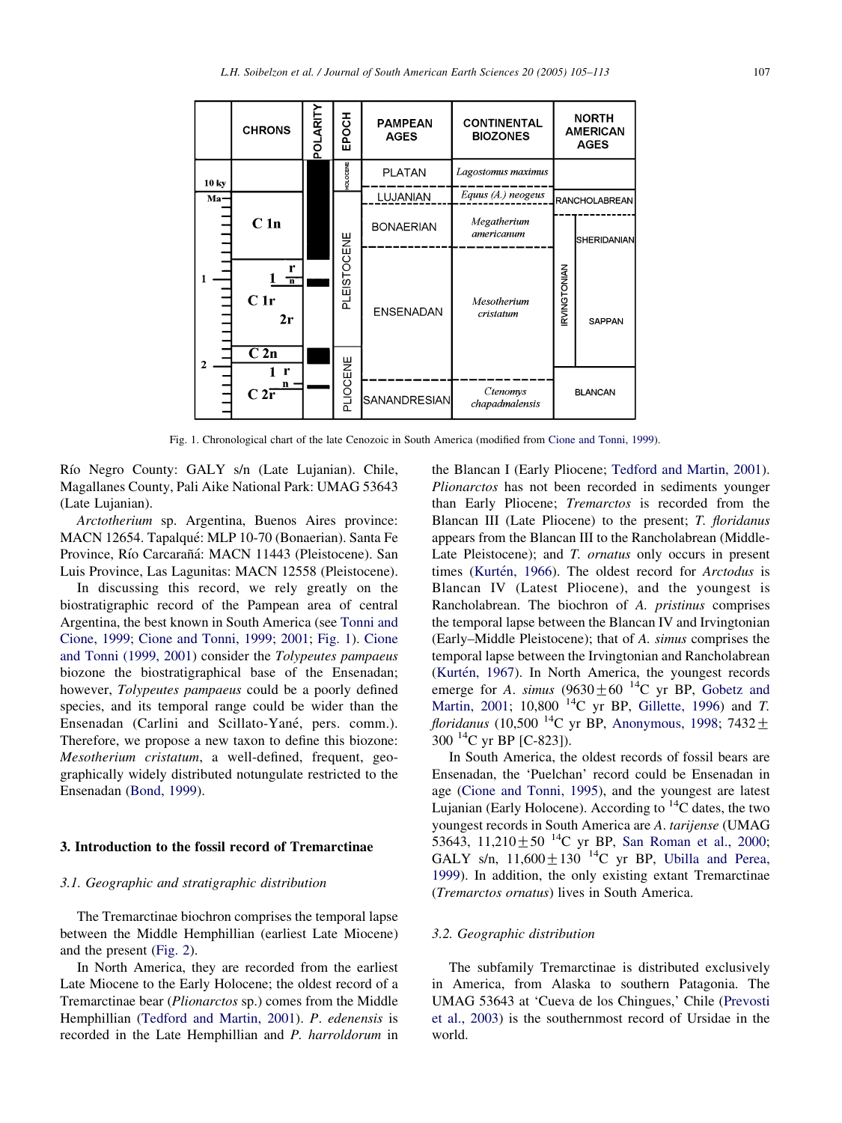<span id="page-2-0"></span>

|              | <b>CHRONS</b>                             | POLARIT | EPOCH           | <b>PAMPEAN</b><br><b>AGES</b> | <b>CONTINENTAL</b><br><b>BIOZONES</b> |                      | <b>NORTH</b><br><b>AMERICAN</b><br><b>AGES</b> |
|--------------|-------------------------------------------|---------|-----------------|-------------------------------|---------------------------------------|----------------------|------------------------------------------------|
| 10 ky        |                                           |         | <b>HOLOCENE</b> | <b>PLATAN</b>                 | Lagostomus maximus                    |                      |                                                |
| $Ma-$        |                                           |         |                 | <b>LUJANIAN</b>               | Equus (A.) neogeus                    | <b>RANCHOLABREAN</b> |                                                |
|              | C <sub>1n</sub>                           |         | PLEISTOCENE     | <b>BONAERIAN</b>              | Megatherium<br>americanum             |                      | SHERIDANIAN                                    |
|              | r<br>$\overline{\mathbf{n}}$<br>C1r<br>2r |         |                 | <b>ENSENADAN</b>              | Mesotherium<br>cristatum              | RVINGTONIAN          | SAPPAN                                         |
| $\mathbf{2}$ | $\overline{C2n}$<br>r<br>$C2\overline{r}$ |         | PLIOCENE        |                               |                                       |                      |                                                |
|              |                                           |         |                 | SANANDRESIAN                  | Ctenomys<br>chapadmalensis            | <b>BLANCAN</b>       |                                                |

Fig. 1. Chronological chart of the late Cenozoic in South America (modified from [Cione and Tonni, 1999\)](#page-7-0).

Río Negro County: GALY s/n (Late Lujanian). Chile, Magallanes County, Pali Aike National Park: UMAG 53643 (Late Lujanian).

Arctotherium sp. Argentina, Buenos Aires province: MACN 12654. Tapalqué: MLP 10-70 (Bonaerian). Santa Fe Province, Río Carcarañá: MACN 11443 (Pleistocene). San Luis Province, Las Lagunitas: MACN 12558 (Pleistocene).

In discussing this record, we rely greatly on the biostratigraphic record of the Pampean area of central Argentina, the best known in South America (see [Tonni and](#page-8-0) [Cione, 1999; Cione and Tonni, 1999; 2001;](#page-8-0) Fig. 1). [Cione](#page-7-0) [and Tonni \(1999, 2001\)](#page-7-0) consider the Tolypeutes pampaeus biozone the biostratigraphical base of the Ensenadan; however, Tolypeutes pampaeus could be a poorly defined species, and its temporal range could be wider than the Ensenadan (Carlini and Scillato-Yané, pers. comm.). Therefore, we propose a new taxon to define this biozone: Mesotherium cristatum, a well-defined, frequent, geographically widely distributed notungulate restricted to the Ensenadan [\(Bond, 1999](#page-7-0)).

#### 3. Introduction to the fossil record of Tremarctinae

## 3.1. Geographic and stratigraphic distribution

The Tremarctinae biochron comprises the temporal lapse between the Middle Hemphillian (earliest Late Miocene) and the present [\(Fig. 2](#page-3-0)).

In North America, they are recorded from the earliest Late Miocene to the Early Holocene; the oldest record of a Tremarctinae bear (Plionarctos sp.) comes from the Middle Hemphillian [\(Tedford and Martin, 2001](#page-8-0)). P. edenensis is recorded in the Late Hemphillian and P. harroldorum in

the Blancan I (Early Pliocene; [Tedford and Martin, 2001\)](#page-8-0). Plionarctos has not been recorded in sediments younger than Early Pliocene; Tremarctos is recorded from the Blancan III (Late Pliocene) to the present; T. floridanus appears from the Blancan III to the Rancholabrean (Middle-Late Pleistocene); and T. *ornatus* only occurs in present times (Kurtén, 1966). The oldest record for Arctodus is Blancan IV (Latest Pliocene), and the youngest is Rancholabrean. The biochron of A. pristinus comprises the temporal lapse between the Blancan IV and Irvingtonian (Early–Middle Pleistocene); that of A. simus comprises the temporal lapse between the Irvingtonian and Rancholabrean (Kurtén, 1967). In North America, the youngest records emerge for A. simus  $(9630 \pm 60^{14} \text{C} \text{ yr}$  BP, [Gobetz and](#page-7-0) [Martin, 2001](#page-7-0); 10,800<sup>14</sup>C yr BP, [Gillette, 1996](#page-7-0)) and T. *floridanus* (10,500<sup>-14</sup>C yr BP, [Anonymous, 1998;](#page-7-0) 7432 $\pm$  $300^{14}$ C yr BP [C-823]).

In South America, the oldest records of fossil bears are Ensenadan, the 'Puelchan' record could be Ensenadan in age ([Cione and Tonni, 1995](#page-7-0)), and the youngest are latest Lujanian (Early Holocene). According to  $^{14}$ C dates, the two youngest records in South America are A. tarijense (UMAG 53643, 11,210 + 50<sup>-14</sup>C yr BP, [San Roman et al., 2000;](#page-7-0) GALY s/n,  $11,600 \pm 130$  <sup>14</sup>C yr BP, [Ubilla and Perea,](#page-8-0) [1999](#page-8-0)). In addition, the only existing extant Tremarctinae (Tremarctos ornatus) lives in South America.

## 3.2. Geographic distribution

The subfamily Tremarctinae is distributed exclusively in America, from Alaska to southern Patagonia. The UMAG 53643 at 'Cueva de los Chingues,' Chile ([Prevosti](#page-7-0) [et al., 2003\)](#page-7-0) is the southernmost record of Ursidae in the world.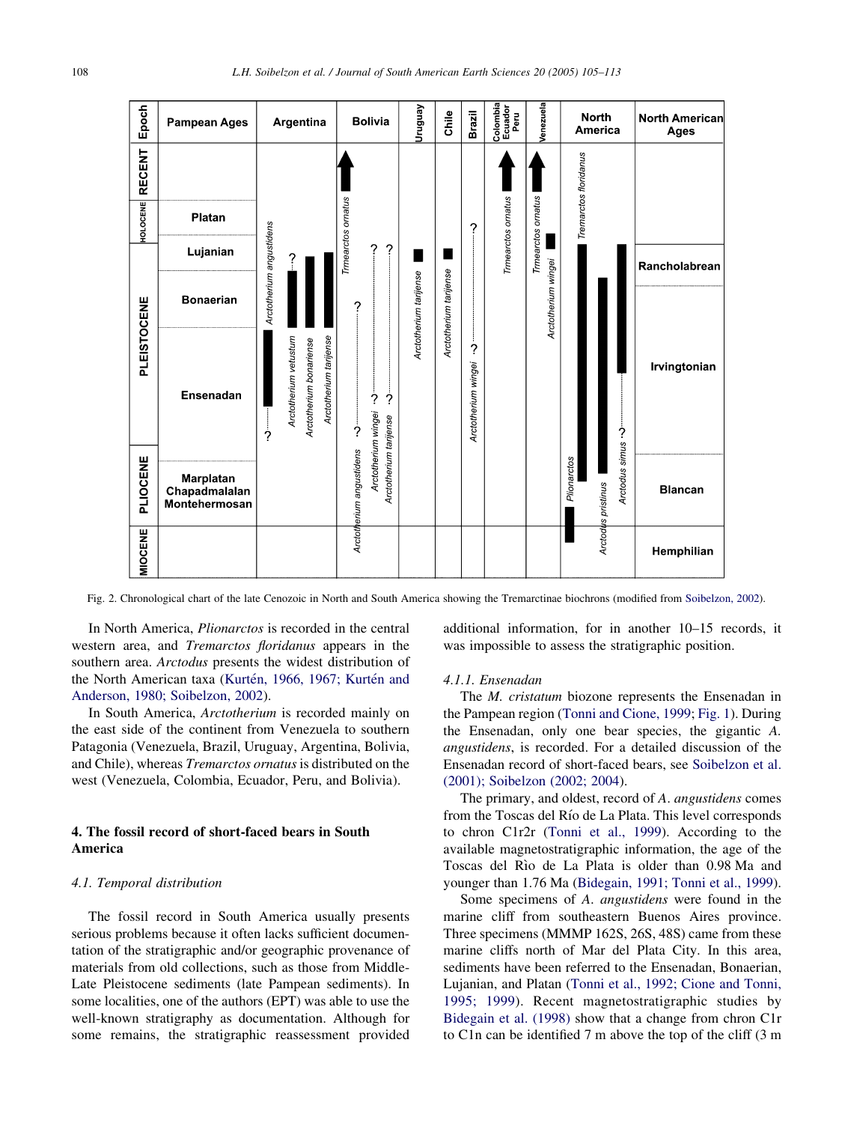<span id="page-3-0"></span>

| Epoch       | <b>Pampean Ages</b>                         | Argentina                                                                                   | <b>Bolivia</b>                                                            | Ven6nun                | Chile                  | Brazil                        | Colombia<br>Ecuador<br>Peru | Venezuela                                 | <b>North</b><br><b>America</b>                         | <b>North American</b><br>Ages |
|-------------|---------------------------------------------|---------------------------------------------------------------------------------------------|---------------------------------------------------------------------------|------------------------|------------------------|-------------------------------|-----------------------------|-------------------------------------------|--------------------------------------------------------|-------------------------------|
| RECENT      |                                             |                                                                                             |                                                                           | Arctotherium tarijense |                        |                               | Trmearctos ornatus          | Trmearctos ornatus<br>Arctotherium wingei | Tremarctos floridanus                                  |                               |
| HOLOCENE    | Platan                                      |                                                                                             | Trmearctos ornatus                                                        |                        | Arctotherium tarijense | ?<br>?<br>Arctotherium wingei |                             |                                           |                                                        |                               |
| PLEISTOCENE | Lujanian                                    |                                                                                             | 2<br>?                                                                    |                        |                        |                               |                             |                                           |                                                        | Rancholabrean                 |
|             | <b>Bonaerian</b>                            | Arctotherium angustidens                                                                    | ?                                                                         |                        |                        |                               |                             |                                           |                                                        |                               |
|             | <b>Ensenadan</b>                            | Arctotherium vetustum<br>Arctotherium tarijense<br>Arctotherium bonariense<br>$\frac{1}{2}$ | $\frac{1}{2}$<br>?<br>$\frac{1}{2}$                                       |                        |                        |                               |                             |                                           |                                                        | Irvingtonian                  |
| PLIOCENE    | Marplatan<br>Chapadmalalan<br>Montehermosan |                                                                                             | Arctotherium wingei<br>Arctotherium tarijense<br>Arctotherium angustidens |                        |                        |                               |                             |                                           | Arctodus simus .-<br>Plionarctos<br>Arctodus pristinus | <b>Blancan</b>                |
| MIOCENE     |                                             |                                                                                             |                                                                           |                        |                        |                               |                             |                                           |                                                        | Hemphilian                    |

Fig. 2. Chronological chart of the late Cenozoic in North and South America showing the Tremarctinae biochrons (modified from [Soibelzon, 2002\)](#page-7-0).

In North America, Plionarctos is recorded in the central western area, and Tremarctos floridanus appears in the southern area. Arctodus presents the widest distribution of the North American taxa (Kurtén, 1966, 1967; Kurtén and [Anderson, 1980; Soibelzon, 2002](#page-7-0)).

In South America, Arctotherium is recorded mainly on the east side of the continent from Venezuela to southern Patagonia (Venezuela, Brazil, Uruguay, Argentina, Bolivia, and Chile), whereas Tremarctos ornatus is distributed on the west (Venezuela, Colombia, Ecuador, Peru, and Bolivia).

# 4. The fossil record of short-faced bears in South America

## 4.1. Temporal distribution

The fossil record in South America usually presents serious problems because it often lacks sufficient documentation of the stratigraphic and/or geographic provenance of materials from old collections, such as those from Middle-Late Pleistocene sediments (late Pampean sediments). In some localities, one of the authors (EPT) was able to use the well-known stratigraphy as documentation. Although for some remains, the stratigraphic reassessment provided additional information, for in another 10–15 records, it was impossible to assess the stratigraphic position.

#### 4.1.1. Ensenadan

The M. cristatum biozone represents the Ensenadan in the Pampean region ([Tonni and Cione, 1999;](#page-8-0) [Fig. 1\)](#page-2-0). During the Ensenadan, only one bear species, the gigantic A. angustidens, is recorded. For a detailed discussion of the Ensenadan record of short-faced bears, see [Soibelzon et al.](#page-8-0) [\(2001\); Soibelzon \(2002; 2004](#page-8-0)).

The primary, and oldest, record of A. *angustidens* comes from the Toscas del Rı´o de La Plata. This level corresponds to chron C1r2r ([Tonni et al., 1999\)](#page-8-0). According to the available magnetostratigraphic information, the age of the Toscas del Rìo de La Plata is older than 0.98 Ma and younger than 1.76 Ma [\(Bidegain, 1991; Tonni et al., 1999\)](#page-7-0).

Some specimens of A. angustidens were found in the marine cliff from southeastern Buenos Aires province. Three specimens (MMMP 162S, 26S, 48S) came from these marine cliffs north of Mar del Plata City. In this area, sediments have been referred to the Ensenadan, Bonaerian, Lujanian, and Platan ([Tonni et al., 1992; Cione and Tonni,](#page-8-0) [1995; 1999](#page-8-0)). Recent magnetostratigraphic studies by [Bidegain et al. \(1998\)](#page-7-0) show that a change from chron C1r to C1n can be identified 7 m above the top of the cliff (3 m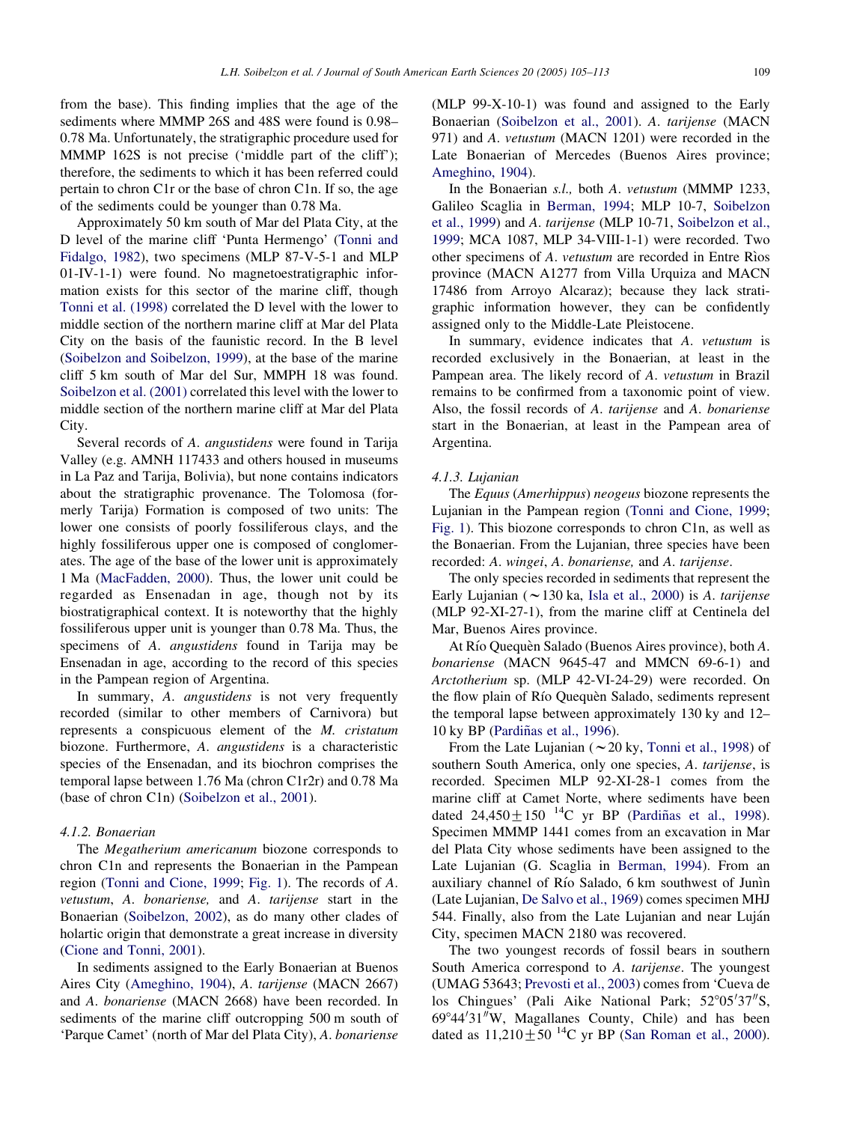from the base). This finding implies that the age of the sediments where MMMP 26S and 48S were found is 0.98– 0.78 Ma. Unfortunately, the stratigraphic procedure used for MMMP 162S is not precise ('middle part of the cliff'); therefore, the sediments to which it has been referred could pertain to chron C1r or the base of chron C1n. If so, the age of the sediments could be younger than 0.78 Ma.

Approximately 50 km south of Mar del Plata City, at the D level of the marine cliff 'Punta Hermengo' [\(Tonni and](#page-8-0) [Fidalgo, 1982](#page-8-0)), two specimens (MLP 87-V-5-1 and MLP 01-IV-1-1) were found. No magnetoestratigraphic information exists for this sector of the marine cliff, though [Tonni et al. \(1998\)](#page-8-0) correlated the D level with the lower to middle section of the northern marine cliff at Mar del Plata City on the basis of the faunistic record. In the B level ([Soibelzon and Soibelzon, 1999\)](#page-8-0), at the base of the marine cliff 5 km south of Mar del Sur, MMPH 18 was found. [Soibelzon et al. \(2001\)](#page-8-0) correlated this level with the lower to middle section of the northern marine cliff at Mar del Plata City.

Several records of A. angustidens were found in Tarija Valley (e.g. AMNH 117433 and others housed in museums in La Paz and Tarija, Bolivia), but none contains indicators about the stratigraphic provenance. The Tolomosa (formerly Tarija) Formation is composed of two units: The lower one consists of poorly fossiliferous clays, and the highly fossiliferous upper one is composed of conglomerates. The age of the base of the lower unit is approximately 1 Ma ([MacFadden, 2000\)](#page-7-0). Thus, the lower unit could be regarded as Ensenadan in age, though not by its biostratigraphical context. It is noteworthy that the highly fossiliferous upper unit is younger than 0.78 Ma. Thus, the specimens of A. *angustidens* found in Tarija may be Ensenadan in age, according to the record of this species in the Pampean region of Argentina.

In summary, A. *angustidens* is not very frequently recorded (similar to other members of Carnivora) but represents a conspicuous element of the M. cristatum biozone. Furthermore, A. angustidens is a characteristic species of the Ensenadan, and its biochron comprises the temporal lapse between 1.76 Ma (chron C1r2r) and 0.78 Ma (base of chron C1n) ([Soibelzon et al., 2001](#page-8-0)).

#### 4.1.2. Bonaerian

The Megatherium americanum biozone corresponds to chron C1n and represents the Bonaerian in the Pampean region ([Tonni and Cione, 1999;](#page-8-0) [Fig. 1](#page-2-0)). The records of A. vetustum, A. bonariense, and A. tarijense start in the Bonaerian ([Soibelzon, 2002](#page-7-0)), as do many other clades of holartic origin that demonstrate a great increase in diversity ([Cione and Tonni, 2001\)](#page-7-0).

In sediments assigned to the Early Bonaerian at Buenos Aires City [\(Ameghino, 1904\)](#page-7-0), A. tarijense (MACN 2667) and A. bonariense (MACN 2668) have been recorded. In sediments of the marine cliff outcropping 500 m south of 'Parque Camet' (north of Mar del Plata City), A. bonariense

(MLP 99-X-10-1) was found and assigned to the Early Bonaerian ([Soibelzon et al., 2001](#page-8-0)). A. tarijense (MACN 971) and A. vetustum (MACN 1201) were recorded in the Late Bonaerian of Mercedes (Buenos Aires province; [Ameghino, 1904](#page-7-0)).

In the Bonaerian s.l., both A. vetustum (MMMP 1233, Galileo Scaglia in [Berman, 1994;](#page-7-0) MLP 10-7, [Soibelzon](#page-8-0) [et al., 1999\)](#page-8-0) and A. tarijense (MLP 10-71, [Soibelzon et al.,](#page-8-0) [1999](#page-8-0); MCA 1087, MLP 34-VIII-1-1) were recorded. Two other specimens of A. *vetustum* are recorded in Entre Rios province (MACN A1277 from Villa Urquiza and MACN 17486 from Arroyo Alcaraz); because they lack stratigraphic information however, they can be confidently assigned only to the Middle-Late Pleistocene.

In summary, evidence indicates that A. vetustum is recorded exclusively in the Bonaerian, at least in the Pampean area. The likely record of A. vetustum in Brazil remains to be confirmed from a taxonomic point of view. Also, the fossil records of A. tarijense and A. bonariense start in the Bonaerian, at least in the Pampean area of Argentina.

#### 4.1.3. Lujanian

The Equus (Amerhippus) neogeus biozone represents the Lujanian in the Pampean region ([Tonni and Cione, 1999;](#page-8-0) [Fig. 1](#page-2-0)). This biozone corresponds to chron C1n, as well as the Bonaerian. From the Lujanian, three species have been recorded: A. wingei, A. bonariense, and A. tarijense.

The only species recorded in sediments that represent the Early Lujanian ( $\sim$  130 ka, [Isla et al., 2000\)](#page-7-0) is A. tarijense (MLP 92-XI-27-1), from the marine cliff at Centinela del Mar, Buenos Aires province.

At Río Quequèn Salado (Buenos Aires province), both A. bonariense (MACN 9645-47 and MMCN 69-6-1) and Arctotherium sp. (MLP 42-VI-24-29) were recorded. On the flow plain of Río Quequèn Salado, sediments represent the temporal lapse between approximately 130 ky and 12– 10 ky BP (Pardiñas et al., 1996).

From the Late Lujanian ( $\sim$  20 ky, [Tonni et al., 1998](#page-8-0)) of southern South America, only one species, A. tarijense, is recorded. Specimen MLP 92-XI-28-1 comes from the marine cliff at Camet Norte, where sediments have been dated  $24,450+150^{14}C$  yr BP (Pardiñas et al., 1998). Specimen MMMP 1441 comes from an excavation in Mar del Plata City whose sediments have been assigned to the Late Lujanian (G. Scaglia in [Berman, 1994\)](#page-7-0). From an auxiliary channel of Río Salado, 6 km southwest of Junin (Late Lujanian, [De Salvo et al., 1969\)](#page-7-0) comes specimen MHJ 544. Finally, also from the Late Lujanian and near Luján City, specimen MACN 2180 was recovered.

The two youngest records of fossil bears in southern South America correspond to A. tarijense. The youngest (UMAG 53643; [Prevosti et al., 2003\)](#page-7-0) comes from 'Cueva de los Chingues' (Pali Aike National Park; 52°05'37"S,  $69^{\circ}44'31''W$ , Magallanes County, Chile) and has been dated as  $11,210 \pm 50^{14}$ C yr BP ([San Roman et al., 2000\)](#page-7-0).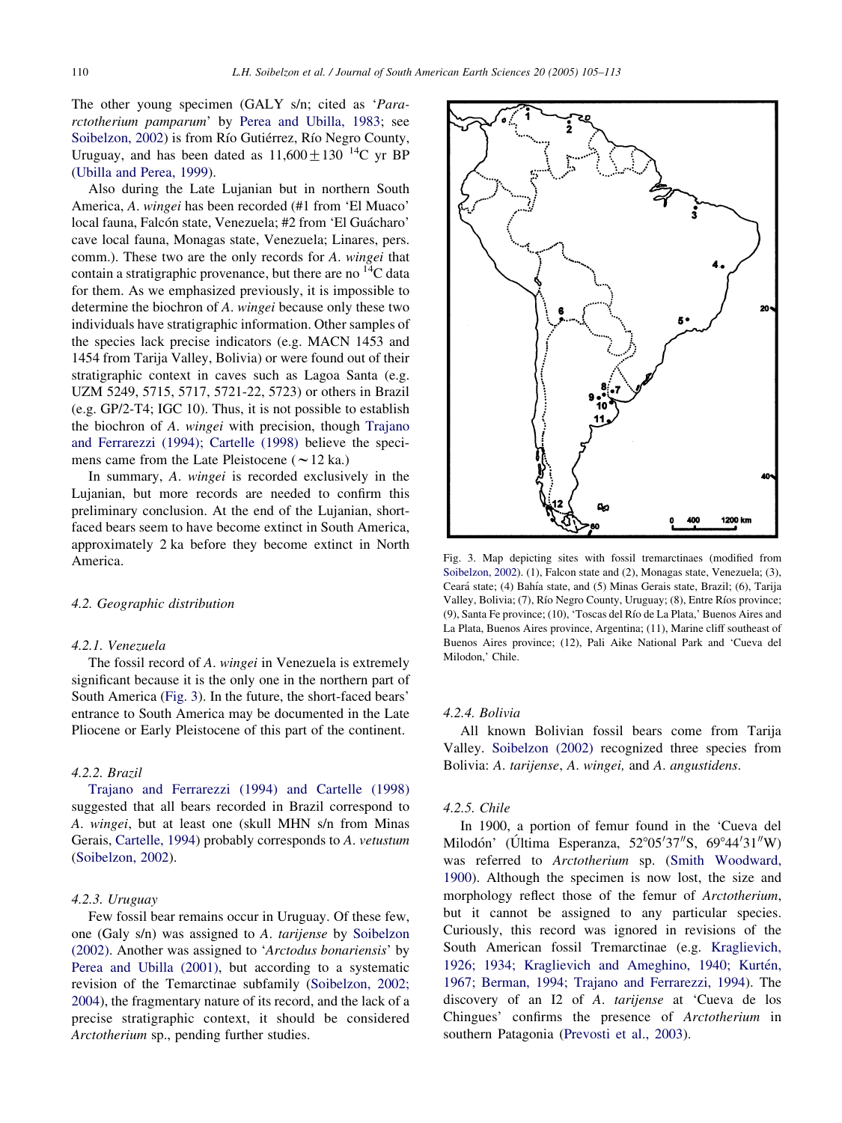The other young specimen (GALY s/n; cited as 'Pararctotherium pamparum' by [Perea and Ubilla, 1983](#page-7-0); see [Soibelzon, 2002\)](#page-7-0) is from Río Gutiérrez, Río Negro County, Uruguay, and has been dated as  $11,600 \pm 130$  <sup>14</sup>C yr BP ([Ubilla and Perea, 1999](#page-8-0)).

Also during the Late Lujanian but in northern South America, A. wingei has been recorded (#1 from 'El Muaco' local fauna, Falcón state, Venezuela; #2 from 'El Guácharo' cave local fauna, Monagas state, Venezuela; Linares, pers. comm.). These two are the only records for A. wingei that contain a stratigraphic provenance, but there are no  ${}^{14}C$  data for them. As we emphasized previously, it is impossible to determine the biochron of A. wingei because only these two individuals have stratigraphic information. Other samples of the species lack precise indicators (e.g. MACN 1453 and 1454 from Tarija Valley, Bolivia) or were found out of their stratigraphic context in caves such as Lagoa Santa (e.g. UZM 5249, 5715, 5717, 5721-22, 5723) or others in Brazil (e.g. GP/2-T4; IGC 10). Thus, it is not possible to establish the biochron of A. wingei with precision, though [Trajano](#page-8-0) [and Ferrarezzi \(1994\); Cartelle \(1998\)](#page-8-0) believe the specimens came from the Late Pleistocene ( $\sim$  12 ka.)

In summary, A. wingei is recorded exclusively in the Lujanian, but more records are needed to confirm this preliminary conclusion. At the end of the Lujanian, shortfaced bears seem to have become extinct in South America, approximately 2 ka before they become extinct in North America.

# 4.2. Geographic distribution

## 4.2.1. Venezuela

The fossil record of A. wingei in Venezuela is extremely significant because it is the only one in the northern part of South America (Fig. 3). In the future, the short-faced bears' entrance to South America may be documented in the Late Pliocene or Early Pleistocene of this part of the continent.

# 4.2.2. Brazil

[Trajano and Ferrarezzi \(1994\) and Cartelle \(1998\)](#page-8-0) suggested that all bears recorded in Brazil correspond to A. wingei, but at least one (skull MHN s/n from Minas Gerais, [Cartelle, 1994](#page-7-0)) probably corresponds to A. vetustum ([Soibelzon, 2002](#page-7-0)).

## 4.2.3. Uruguay

Few fossil bear remains occur in Uruguay. Of these few, one (Galy s/n) was assigned to A. tarijense by [Soibelzon](#page-7-0) [\(2002\)](#page-7-0). Another was assigned to 'Arctodus bonariensis' by [Perea and Ubilla \(2001\),](#page-7-0) but according to a systematic revision of the Temarctinae subfamily ([Soibelzon, 2002;](#page-7-0) [2004\)](#page-7-0), the fragmentary nature of its record, and the lack of a precise stratigraphic context, it should be considered Arctotherium sp., pending further studies.



Fig. 3. Map depicting sites with fossil tremarctinaes (modified from [Soibelzon, 2002\)](#page-7-0). (1), Falcon state and (2), Monagas state, Venezuela; (3), Ceará state; (4) Bahía state, and (5) Minas Gerais state, Brazil; (6), Tarija Valley, Bolivia; (7), Río Negro County, Uruguay; (8), Entre Ríos province; (9), Santa Fe province; (10), 'Toscas del Rı´o de La Plata,' Buenos Aires and La Plata, Buenos Aires province, Argentina; (11), Marine cliff southeast of Buenos Aires province; (12), Pali Aike National Park and 'Cueva del Milodon,' Chile.

#### 4.2.4. Bolivia

All known Bolivian fossil bears come from Tarija Valley. [Soibelzon \(2002\)](#page-7-0) recognized three species from Bolivia: A. tarijense, A. wingei, and A. angustidens.

#### 4.2.5. Chile

In 1900, a portion of femur found in the 'Cueva del Milodón' (Última Esperanza, 52°05'37"S, 69°44'31"W) was referred to Arctotherium sp. [\(Smith Woodward,](#page-7-0) [1900\)](#page-7-0). Although the specimen is now lost, the size and morphology reflect those of the femur of Arctotherium, but it cannot be assigned to any particular species. Curiously, this record was ignored in revisions of the South American fossil Tremarctinae (e.g. [Kraglievich,](#page-7-0) 1926; 1934; Kraglievich and Ameghino, 1940; Kurtén, [1967; Berman, 1994; Trajano and Ferrarezzi, 1994](#page-7-0)). The discovery of an I2 of A. tarijense at 'Cueva de los Chingues' confirms the presence of Arctotherium in southern Patagonia ([Prevosti et al., 2003](#page-7-0)).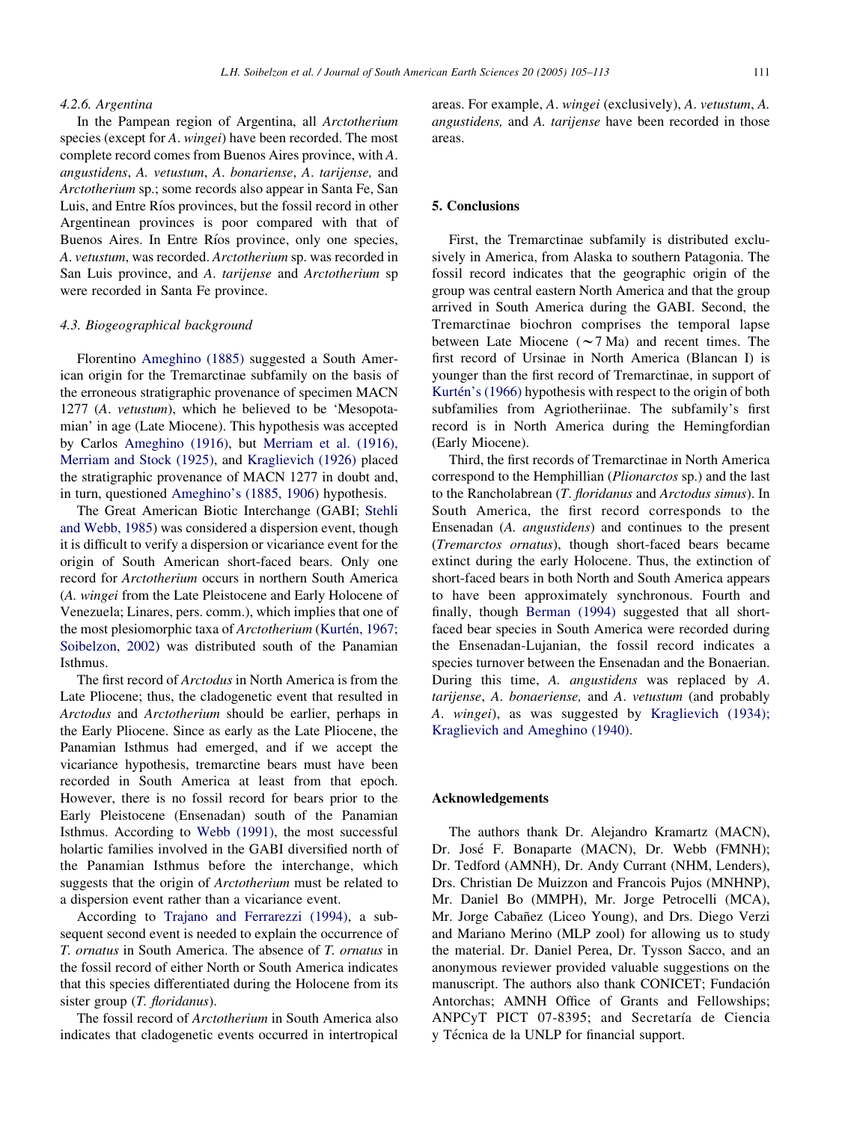## 4.2.6. Argentina

In the Pampean region of Argentina, all Arctotherium species (except for A. wingei) have been recorded. The most complete record comes from Buenos Aires province, with A. angustidens, A. vetustum, A. bonariense, A. tarijense, and Arctotherium sp.; some records also appear in Santa Fe, San Luis, and Entre Ríos provinces, but the fossil record in other Argentinean provinces is poor compared with that of Buenos Aires. In Entre Ríos province, only one species, A. vetustum, was recorded. Arctotherium sp. was recorded in San Luis province, and A. tarijense and Arctotherium sp were recorded in Santa Fe province.

# 4.3. Biogeographical background

Florentino [Ameghino \(1885\)](#page-7-0) suggested a South American origin for the Tremarctinae subfamily on the basis of the erroneous stratigraphic provenance of specimen MACN 1277 (A. vetustum), which he believed to be 'Mesopotamian' in age (Late Miocene). This hypothesis was accepted by Carlos [Ameghino \(1916\),](#page-7-0) but [Merriam et al. \(1916\),](#page-7-0) [Merriam and Stock \(1925\)](#page-7-0), and [Kraglievich \(1926\)](#page-7-0) placed the stratigraphic provenance of MACN 1277 in doubt and, in turn, questioned [Ameghino's \(1885, 1906](#page-7-0)) hypothesis.

The Great American Biotic Interchange (GABI; [Stehli](#page-8-0) [and Webb, 1985](#page-8-0)) was considered a dispersion event, though it is difficult to verify a dispersion or vicariance event for the origin of South American short-faced bears. Only one record for Arctotherium occurs in northern South America (A. wingei from the Late Pleistocene and Early Holocene of Venezuela; Linares, pers. comm.), which implies that one of the most plesiomorphic taxa of Arctotherium (Kurtén, 1967; [Soibelzon, 2002\)](#page-7-0) was distributed south of the Panamian Isthmus.

The first record of Arctodus in North America is from the Late Pliocene; thus, the cladogenetic event that resulted in Arctodus and Arctotherium should be earlier, perhaps in the Early Pliocene. Since as early as the Late Pliocene, the Panamian Isthmus had emerged, and if we accept the vicariance hypothesis, tremarctine bears must have been recorded in South America at least from that epoch. However, there is no fossil record for bears prior to the Early Pleistocene (Ensenadan) south of the Panamian Isthmus. According to [Webb \(1991\),](#page-8-0) the most successful holartic families involved in the GABI diversified north of the Panamian Isthmus before the interchange, which suggests that the origin of Arctotherium must be related to a dispersion event rather than a vicariance event.

According to [Trajano and Ferrarezzi \(1994\)](#page-8-0), a subsequent second event is needed to explain the occurrence of T. ornatus in South America. The absence of T. ornatus in the fossil record of either North or South America indicates that this species differentiated during the Holocene from its sister group (T. floridanus).

The fossil record of Arctotherium in South America also indicates that cladogenetic events occurred in intertropical areas. For example, A. wingei (exclusively), A. vetustum, A. angustidens, and A. tarijense have been recorded in those areas.

## 5. Conclusions

First, the Tremarctinae subfamily is distributed exclusively in America, from Alaska to southern Patagonia. The fossil record indicates that the geographic origin of the group was central eastern North America and that the group arrived in South America during the GABI. Second, the Tremarctinae biochron comprises the temporal lapse between Late Miocene  $({\sim}7 \text{ Ma})$  and recent times. The first record of Ursinae in North America (Blancan I) is younger than the first record of Tremarctinae, in support of Kurtén's (1966) hypothesis with respect to the origin of both subfamilies from Agriotheriinae. The subfamily's first record is in North America during the Hemingfordian (Early Miocene).

Third, the first records of Tremarctinae in North America correspond to the Hemphillian (Plionarctos sp.) and the last to the Rancholabrean (T. floridanus and Arctodus simus). In South America, the first record corresponds to the Ensenadan (A. angustidens) and continues to the present (Tremarctos ornatus), though short-faced bears became extinct during the early Holocene. Thus, the extinction of short-faced bears in both North and South America appears to have been approximately synchronous. Fourth and finally, though [Berman \(1994\)](#page-7-0) suggested that all shortfaced bear species in South America were recorded during the Ensenadan-Lujanian, the fossil record indicates a species turnover between the Ensenadan and the Bonaerian. During this time, A. angustidens was replaced by A. tarijense, A. bonaeriense, and A. vetustum (and probably A. wingei), as was suggested by [Kraglievich \(1934\);](#page-7-0) [Kraglievich and Ameghino \(1940\)](#page-7-0).

## Acknowledgements

The authors thank Dr. Alejandro Kramartz (MACN), Dr. José F. Bonaparte (MACN), Dr. Webb (FMNH); Dr. Tedford (AMNH), Dr. Andy Currant (NHM, Lenders), Drs. Christian De Muizzon and Francois Pujos (MNHNP), Mr. Daniel Bo (MMPH), Mr. Jorge Petrocelli (MCA), Mr. Jorge Cabañez (Liceo Young), and Drs. Diego Verzi and Mariano Merino (MLP zool) for allowing us to study the material. Dr. Daniel Perea, Dr. Tysson Sacco, and an anonymous reviewer provided valuable suggestions on the manuscript. The authors also thank CONICET: Fundación Antorchas; AMNH Office of Grants and Fellowships; ANPCyT PICT 07-8395; and Secretaría de Ciencia y Técnica de la UNLP for financial support.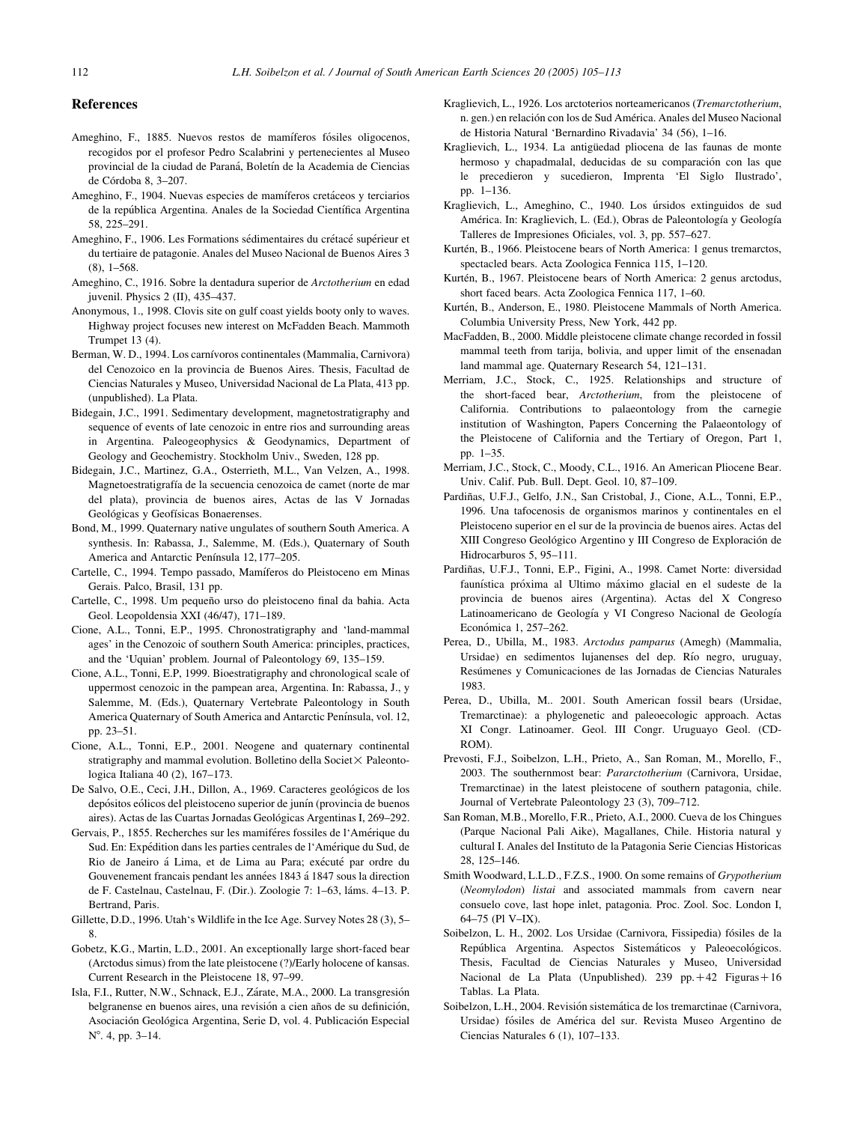# <span id="page-7-0"></span>References

- Ameghino, F., 1885. Nuevos restos de mamíferos fósiles oligocenos, recogidos por el profesor Pedro Scalabrini y pertenecientes al Museo provincial de la ciudad de Paraná, Boletín de la Academia de Ciencias  $de Córdoba 8, 3–207.$
- Ameghino, F., 1904. Nuevas especies de mamíferos cretáceos y terciarios de la república Argentina. Anales de la Sociedad Científica Argentina 58, 225–291.
- Ameghino, F., 1906. Les Formations sédimentaires du crétacé supérieur et du tertiaire de patagonie. Anales del Museo Nacional de Buenos Aires 3 (8), 1–568.
- Ameghino, C., 1916. Sobre la dentadura superior de Arctotherium en edad juvenil. Physics 2 (II), 435–437.
- Anonymous, 1., 1998. Clovis site on gulf coast yields booty only to waves. Highway project focuses new interest on McFadden Beach. Mammoth Trumpet 13 (4).
- Berman, W. D., 1994. Los carnı´voros continentales (Mammalia, Carnivora) del Cenozoico en la provincia de Buenos Aires. Thesis, Facultad de Ciencias Naturales y Museo, Universidad Nacional de La Plata, 413 pp. (unpublished). La Plata.
- Bidegain, J.C., 1991. Sedimentary development, magnetostratigraphy and sequence of events of late cenozoic in entre rios and surrounding areas in Argentina. Paleogeophysics & Geodynamics, Department of Geology and Geochemistry. Stockholm Univ., Sweden, 128 pp.
- Bidegain, J.C., Martinez, G.A., Osterrieth, M.L., Van Velzen, A., 1998. Magnetoestratigrafía de la secuencia cenozoica de camet (norte de mar del plata), provincia de buenos aires, Actas de las V Jornadas Geológicas y Geofísicas Bonaerenses.
- Bond, M., 1999. Quaternary native ungulates of southern South America. A synthesis. In: Rabassa, J., Salemme, M. (Eds.), Quaternary of South America and Antarctic Península 12,177-205.
- Cartelle, C., 1994. Tempo passado, Mamíferos do Pleistoceno em Minas Gerais. Palco, Brasil, 131 pp.
- Cartelle, C., 1998. Um pequeño urso do pleistoceno final da bahia. Acta Geol. Leopoldensia XXI (46/47), 171–189.
- Cione, A.L., Tonni, E.P., 1995. Chronostratigraphy and 'land-mammal ages' in the Cenozoic of southern South America: principles, practices, and the 'Uquian' problem. Journal of Paleontology 69, 135–159.
- Cione, A.L., Tonni, E.P, 1999. Bioestratigraphy and chronological scale of uppermost cenozoic in the pampean area, Argentina. In: Rabassa, J., y Salemme, M. (Eds.), Quaternary Vertebrate Paleontology in South America Quaternary of South America and Antarctic Península, vol. 12, pp. 23–51.
- Cione, A.L., Tonni, E.P., 2001. Neogene and quaternary continental stratigraphy and mammal evolution. Bolletino della Societ $\times$  Paleontologica Italiana 40 (2), 167–173.
- De Salvo, O.E., Ceci, J.H., Dillon, A., 1969. Caracteres geológicos de los depósitos eólicos del pleistoceno superior de junín (provincia de buenos aires). Actas de las Cuartas Jornadas Geológicas Argentinas I, 269-292.
- Gervais, P., 1855. Recherches sur les mamiféres fossiles de l'Amérique du Sud. En: Expédition dans les parties centrales de l'Amérique du Sud, de Rio de Janeiro á Lima, et de Lima au Para; exécuté par ordre du Gouvenement francais pendant les années 1843 á 1847 sous la direction de F. Castelnau, Castelnau, F. (Dir.). Zoologie 7: 1-63, láms. 4-13. P. Bertrand, Paris.
- Gillette, D.D., 1996. Utah's Wildlife in the Ice Age. Survey Notes 28 (3), 5– 8.
- Gobetz, K.G., Martin, L.D., 2001. An exceptionally large short-faced bear (Arctodus simus) from the late pleistocene (?)/Early holocene of kansas. Current Research in the Pleistocene 18, 97–99.
- Isla, F.I., Rutter, N.W., Schnack, E.J., Zárate, M.A., 2000. La transgresión belgranense en buenos aires, una revisión a cien años de su definición, Asociación Geológica Argentina, Serie D, vol. 4. Publicación Especial  $N^{\circ}$ . 4, pp. 3–14.
- Kraglievich, L., 1926. Los arctoterios norteamericanos (Tremarctotherium, n. gen.) en relación con los de Sud América. Anales del Museo Nacional de Historia Natural 'Bernardino Rivadavia' 34 (56), 1–16.
- Kraglievich, L., 1934. La antigüedad pliocena de las faunas de monte hermoso y chapadmalal, deducidas de su comparación con las que le precedieron y sucedieron, Imprenta 'El Siglo Ilustrado', pp. 1–136.
- Kraglievich, L., Ameghino, C., 1940. Los úrsidos extinguidos de sud América. In: Kraglievich, L. (Ed.), Obras de Paleontología y Geología Talleres de Impresiones Oficiales, vol. 3, pp. 557–627.
- Kurtén, B., 1966. Pleistocene bears of North America: 1 genus tremarctos, spectacled bears. Acta Zoologica Fennica 115, 1–120.
- Kurtén, B., 1967. Pleistocene bears of North America: 2 genus arctodus, short faced bears. Acta Zoologica Fennica 117, 1–60.
- Kurtén, B., Anderson, E., 1980. Pleistocene Mammals of North America. Columbia University Press, New York, 442 pp.
- MacFadden, B., 2000. Middle pleistocene climate change recorded in fossil mammal teeth from tarija, bolivia, and upper limit of the ensenadan land mammal age. Quaternary Research 54, 121–131.
- Merriam, J.C., Stock, C., 1925. Relationships and structure of the short-faced bear, Arctotherium, from the pleistocene of California. Contributions to palaeontology from the carnegie institution of Washington, Papers Concerning the Palaeontology of the Pleistocene of California and the Tertiary of Oregon, Part 1, pp. 1–35.
- Merriam, J.C., Stock, C., Moody, C.L., 1916. An American Pliocene Bear. Univ. Calif. Pub. Bull. Dept. Geol. 10, 87–109.
- Pardiñas, U.F.J., Gelfo, J.N., San Cristobal, J., Cione, A.L., Tonni, E.P., 1996. Una tafocenosis de organismos marinos y continentales en el Pleistoceno superior en el sur de la provincia de buenos aires. Actas del XIII Congreso Geológico Argentino y III Congreso de Exploración de Hidrocarburos 5, 95–111.
- Pardiñas, U.F.J., Tonni, E.P., Figini, A., 1998. Camet Norte: diversidad faunística próxima al Ultimo máximo glacial en el sudeste de la provincia de buenos aires (Argentina). Actas del X Congreso Latinoamericano de Geología y VI Congreso Nacional de Geología Económica 1, 257-262.
- Perea, D., Ubilla, M., 1983. Arctodus pamparus (Amegh) (Mammalia, Ursidae) en sedimentos lujanenses del dep. Rı´o negro, uruguay, Resúmenes y Comunicaciones de las Jornadas de Ciencias Naturales 1983.
- Perea, D., Ubilla, M.. 2001. South American fossil bears (Ursidae, Tremarctinae): a phylogenetic and paleoecologic approach. Actas XI Congr. Latinoamer. Geol. III Congr. Uruguayo Geol. (CD-ROM).
- Prevosti, F.J., Soibelzon, L.H., Prieto, A., San Roman, M., Morello, F., 2003. The southernmost bear: Pararctotherium (Carnivora, Ursidae, Tremarctinae) in the latest pleistocene of southern patagonia, chile. Journal of Vertebrate Paleontology 23 (3), 709–712.
- San Roman, M.B., Morello, F.R., Prieto, A.I., 2000. Cueva de los Chingues (Parque Nacional Pali Aike), Magallanes, Chile. Historia natural y cultural I. Anales del Instituto de la Patagonia Serie Ciencias Historicas 28, 125–146.
- Smith Woodward, L.L.D., F.Z.S., 1900. On some remains of Grypotherium (Neomylodon) listai and associated mammals from cavern near consuelo cove, last hope inlet, patagonia. Proc. Zool. Soc. London I, 64–75 (Pl V–IX).
- Soibelzon, L. H., 2002. Los Ursidae (Carnivora, Fissipedia) fósiles de la República Argentina. Aspectos Sistemáticos y Paleoecológicos. Thesis, Facultad de Ciencias Naturales y Museo, Universidad Nacional de La Plata (Unpublished). 239 pp. +42 Figuras +16 Tablas. La Plata.
- Soibelzon, L.H., 2004. Revisión sistemática de los tremarctinae (Carnivora, Ursidae) fósiles de América del sur. Revista Museo Argentino de Ciencias Naturales 6 (1), 107–133.